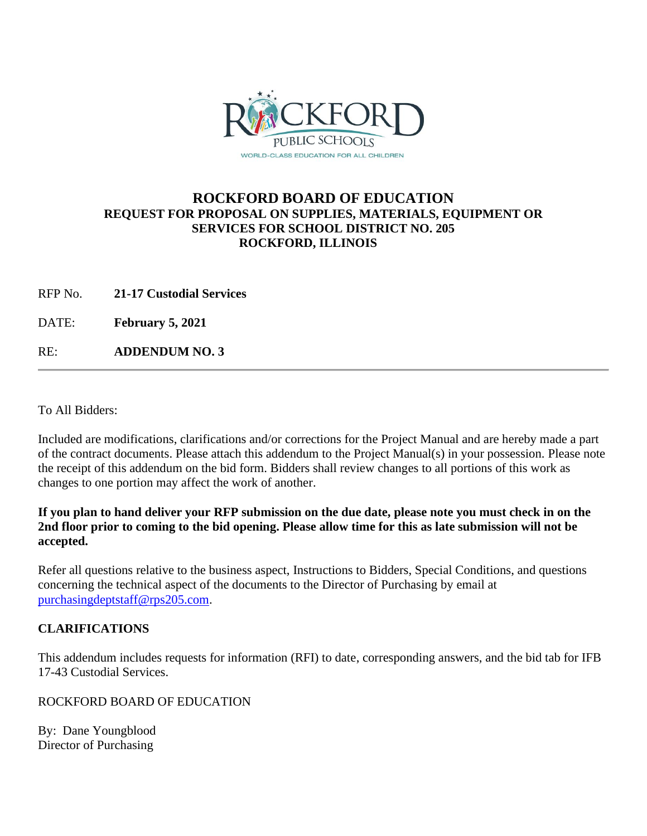

# **ROCKFORD BOARD OF EDUCATION REQUEST FOR PROPOSAL ON SUPPLIES, MATERIALS, EQUIPMENT OR SERVICES FOR SCHOOL DISTRICT NO. 205 ROCKFORD, ILLINOIS**

RFP No. **21-17 Custodial Services**

DATE: **February 5, 2021**

RE: **ADDENDUM NO. 3**

To All Bidders:

Included are modifications, clarifications and/or corrections for the Project Manual and are hereby made a part of the contract documents. Please attach this addendum to the Project Manual(s) in your possession. Please note the receipt of this addendum on the bid form. Bidders shall review changes to all portions of this work as changes to one portion may affect the work of another.

**If you plan to hand deliver your RFP submission on the due date, please note you must check in on the 2nd floor prior to coming to the bid opening. Please allow time for this as late submission will not be accepted.**

Refer all questions relative to the business aspect, Instructions to Bidders, Special Conditions, and questions concerning the technical aspect of the documents to the Director of Purchasing by email at [purchasingdeptstaff@rps205.com.](mailto:purchasingdeptstaff@rps205.com)

## **CLARIFICATIONS**

This addendum includes requests for information (RFI) to date, corresponding answers, and the bid tab for IFB 17-43 Custodial Services.

ROCKFORD BOARD OF EDUCATION

By: Dane Youngblood Director of Purchasing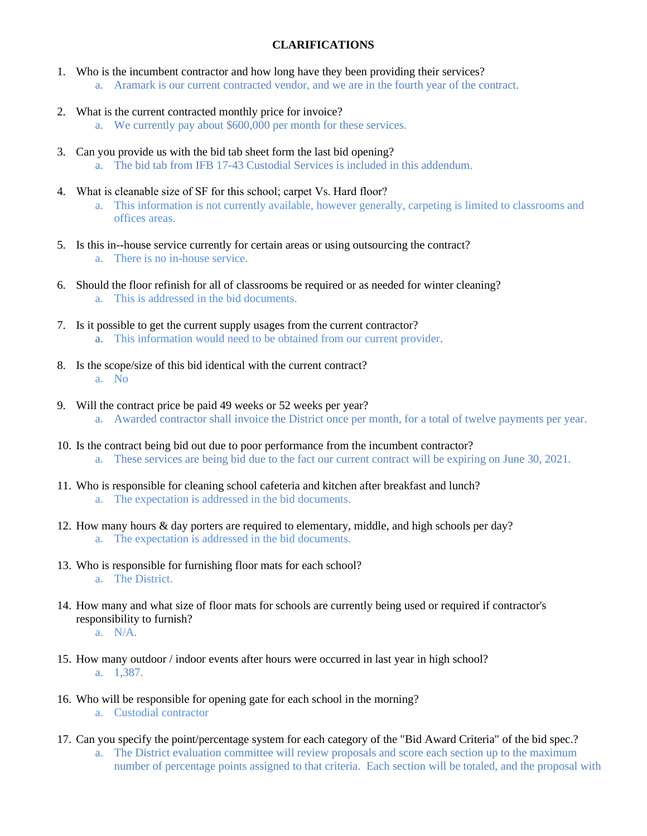## **CLARIFICATIONS**

- 1. Who is the incumbent contractor and how long have they been providing their services? a. Aramark is our current contracted vendor, and we are in the fourth year of the contract.
- 2. What is the current contracted monthly price for invoice?
	- a. We currently pay about \$600,000 per month for these services.
- 3. Can you provide us with the bid tab sheet form the last bid opening? a. The bid tab from IFB 17-43 Custodial Services is included in this addendum.
- 4. What is cleanable size of SF for this school; carpet Vs. Hard floor?
	- a. This information is not currently available, however generally, carpeting is limited to classrooms and offices areas.
- 5. Is this in--house service currently for certain areas or using outsourcing the contract? a. There is no in-house service.
- 6. Should the floor refinish for all of classrooms be required or as needed for winter cleaning? a. This is addressed in the bid documents.
- 7. Is it possible to get the current supply usages from the current contractor? a. This information would need to be obtained from our current provider.
- 8. Is the scope/size of this bid identical with the current contract? a. No
- 9. Will the contract price be paid 49 weeks or 52 weeks per year? a. Awarded contractor shall invoice the District once per month, for a total of twelve payments per year.
- 10. Is the contract being bid out due to poor performance from the incumbent contractor? a. These services are being bid due to the fact our current contract will be expiring on June 30, 2021.
- 11. Who is responsible for cleaning school cafeteria and kitchen after breakfast and lunch? a. The expectation is addressed in the bid documents.
- 12. How many hours & day porters are required to elementary, middle, and high schools per day? a. The expectation is addressed in the bid documents.
- 13. Who is responsible for furnishing floor mats for each school? a. The District.
- 14. How many and what size of floor mats for schools are currently being used or required if contractor's responsibility to furnish? a. N/A.
- 15. How many outdoor / indoor events after hours were occurred in last year in high school? a. 1,387.
- 16. Who will be responsible for opening gate for each school in the morning? a. Custodial contractor
- 17. Can you specify the point/percentage system for each category of the "Bid Award Criteria" of the bid spec.? a. The District evaluation committee will review proposals and score each section up to the maximum number of percentage points assigned to that criteria. Each section will be totaled, and the proposal with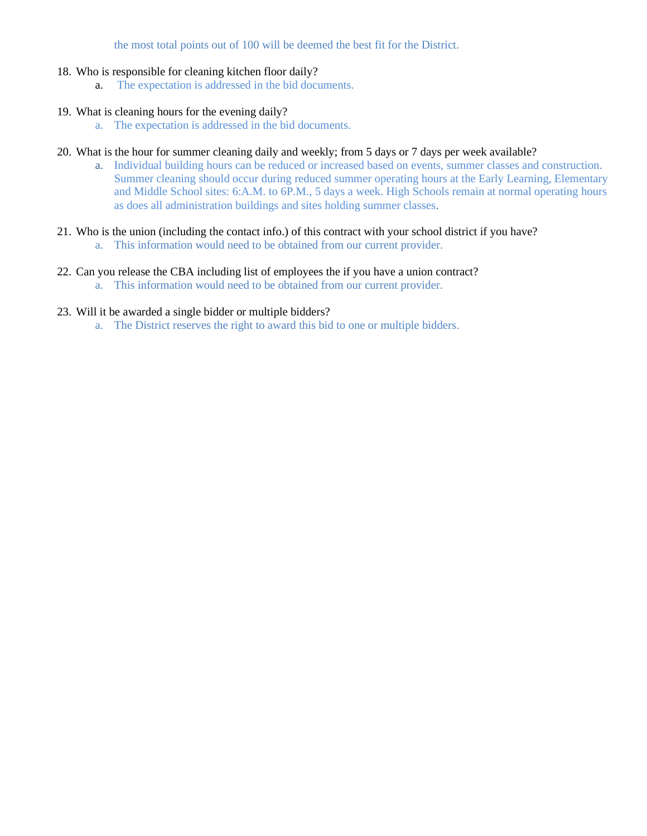the most total points out of 100 will be deemed the best fit for the District.

## 18. Who is responsible for cleaning kitchen floor daily?

a. The expectation is addressed in the bid documents.

#### 19. What is cleaning hours for the evening daily?

a. The expectation is addressed in the bid documents.

### 20. What is the hour for summer cleaning daily and weekly; from 5 days or 7 days per week available?

- a. Individual building hours can be reduced or increased based on events, summer classes and construction. Summer cleaning should occur during reduced summer operating hours at the Early Learning, Elementary and Middle School sites: 6:A.M. to 6P.M., 5 days a week. High Schools remain at normal operating hours as does all administration buildings and sites holding summer classes.
- 21. Who is the union (including the contact info.) of this contract with your school district if you have?
	- a. This information would need to be obtained from our current provider.

# 22. Can you release the CBA including list of employees the if you have a union contract?

a. This information would need to be obtained from our current provider.

### 23. Will it be awarded a single bidder or multiple bidders?

a. The District reserves the right to award this bid to one or multiple bidders.